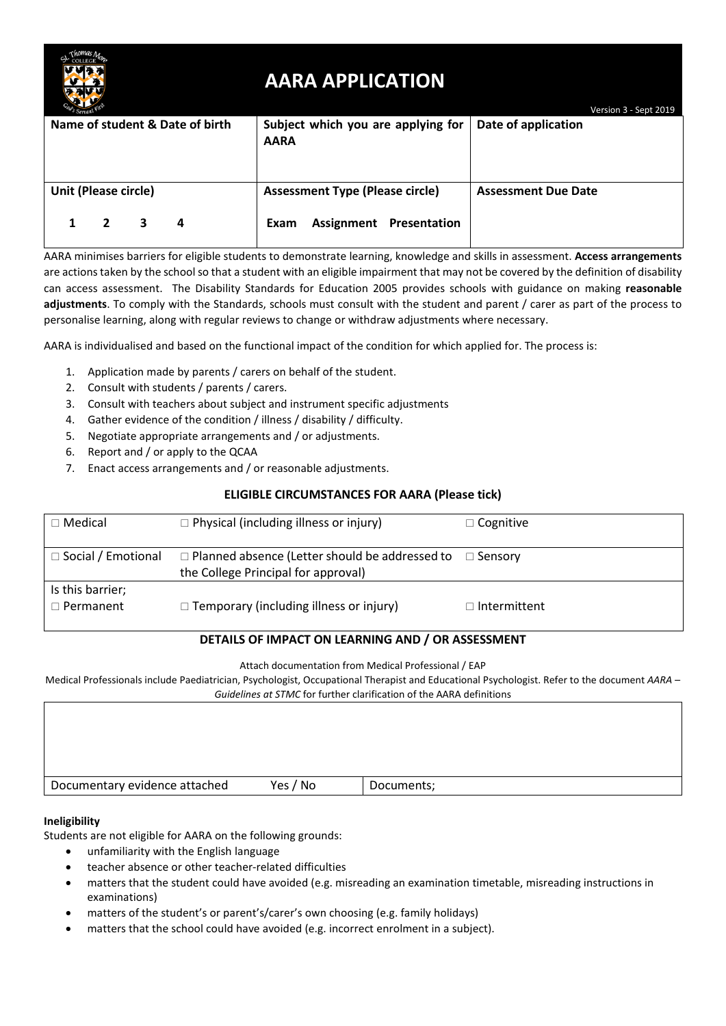

# **AARA APPLICATION**

| od's Servant First              |                                                   | Version 3 - Sept 2019      |
|---------------------------------|---------------------------------------------------|----------------------------|
| Name of student & Date of birth | Subject which you are applying for<br><b>AARA</b> | Date of application        |
|                                 |                                                   |                            |
| Unit (Please circle)            | <b>Assessment Type (Please circle)</b>            | <b>Assessment Due Date</b> |
| 3<br>4                          | <b>Assignment Presentation</b><br>Exam            |                            |

AARA minimises barriers for eligible students to demonstrate learning, knowledge and skills in assessment. **Access arrangements** are actions taken by the school so that a student with an eligible impairment that may not be covered by the definition of disability can access assessment. The Disability Standards for Education 2005 provides schools with guidance on making **reasonable adjustments**. To comply with the Standards, schools must consult with the student and parent / carer as part of the process to personalise learning, along with regular reviews to change or withdraw adjustments where necessary.

AARA is individualised and based on the functional impact of the condition for which applied for. The process is:

- 1. Application made by parents / carers on behalf of the student.
- 2. Consult with students / parents / carers.
- 3. Consult with teachers about subject and instrument specific adjustments
- 4. Gather evidence of the condition / illness / disability / difficulty.
- 5. Negotiate appropriate arrangements and / or adjustments.
- 6. Report and / or apply to the QCAA
- 7. Enact access arrangements and / or reasonable adjustments.

### **ELIGIBLE CIRCUMSTANCES FOR AARA (Please tick)**

| $\Box$ Medical                       | $\Box$ Physical (including illness or injury)                                                               | $\Box$ Cognitive    |
|--------------------------------------|-------------------------------------------------------------------------------------------------------------|---------------------|
| $\Box$ Social / Emotional            | $\Box$ Planned absence (Letter should be addressed to $\Box$ Sensory<br>the College Principal for approval) |                     |
| Is this barrier;<br>$\Box$ Permanent | $\Box$ Temporary (including illness or injury)                                                              | $\Box$ Intermittent |

### **DETAILS OF IMPACT ON LEARNING AND / OR ASSESSMENT**

Attach documentation from Medical Professional / EAP

Medical Professionals include Paediatrician, Psychologist, Occupational Therapist and Educational Psychologist. Refer to the document *AARA – Guidelines at STMC* for further clarification of the AARA definitions

Documentary evidence attached Yes / No Documents;

#### **Ineligibility**

Students are not eligible for AARA on the following grounds:

- unfamiliarity with the English language
- teacher absence or other teacher-related difficulties
- matters that the student could have avoided (e.g. misreading an examination timetable, misreading instructions in examinations)
- matters of the student's or parent's/carer's own choosing (e.g. family holidays)
- matters that the school could have avoided (e.g. incorrect enrolment in a subject).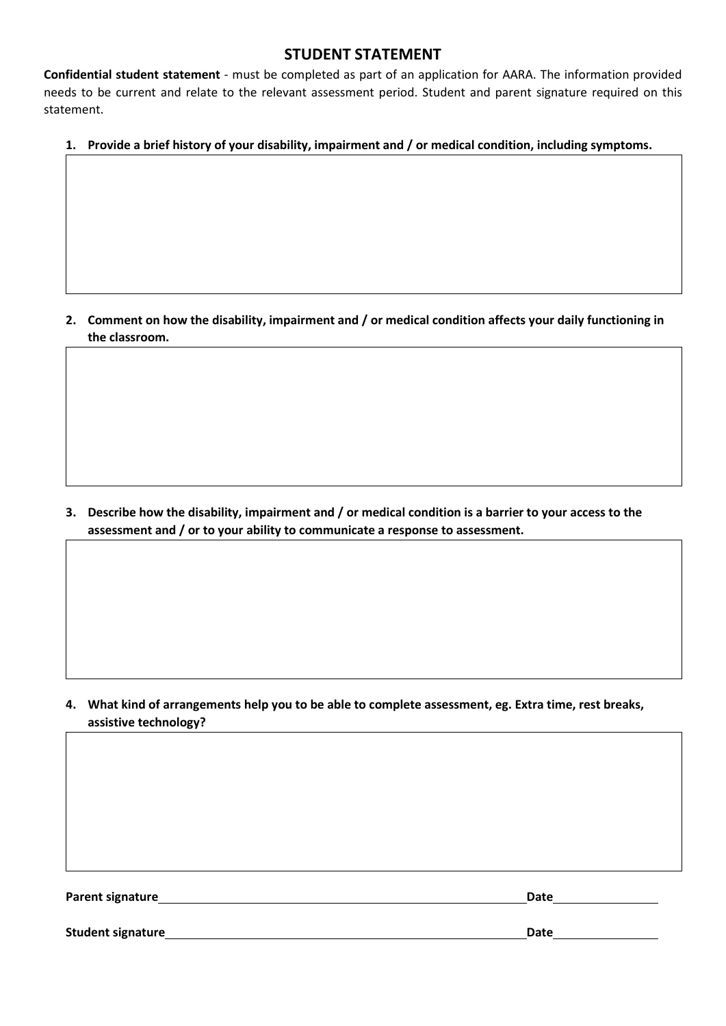## **STUDENT STATEMENT**

**Confidential student statement** - must be completed as part of an application for AARA. The information provided needs to be current and relate to the relevant assessment period. Student and parent signature required on this statement.

## **1. Provide a brief history of your disability, impairment and / or medical condition, including symptoms.**

**2. Comment on how the disability, impairment and / or medical condition affects your daily functioning in the classroom.**

**3. Describe how the disability, impairment and / or medical condition is a barrier to your access to the assessment and / or to your ability to communicate a response to assessment.**

**4. What kind of arrangements help you to be able to complete assessment, eg. Extra time, rest breaks, assistive technology?**

**Parent signature Date**

**Student signature Date**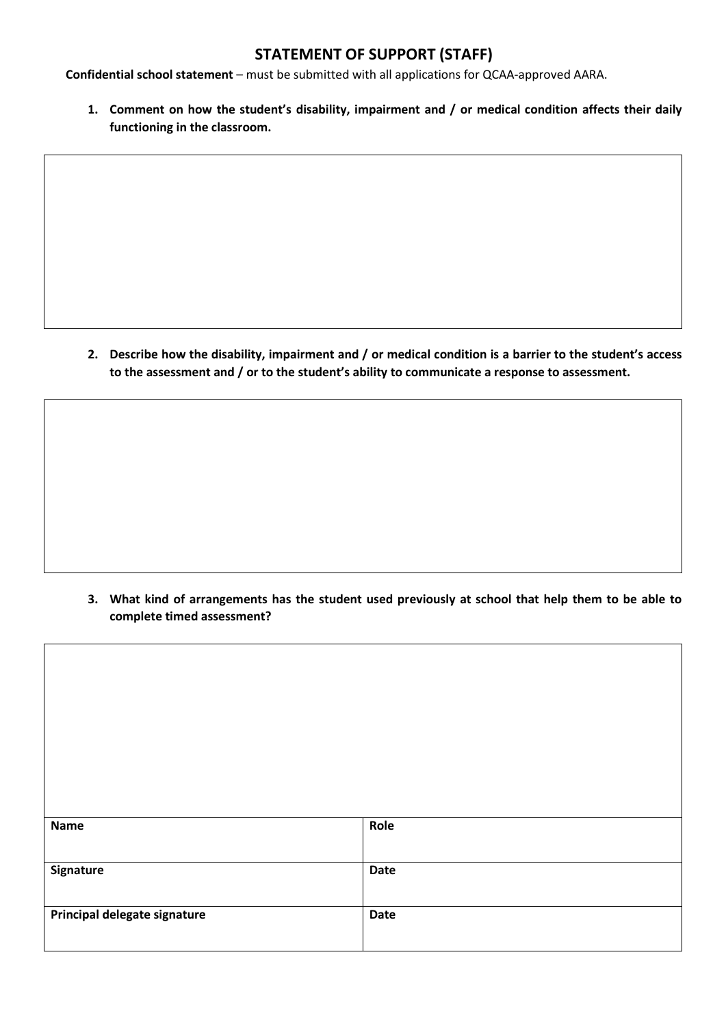# **STATEMENT OF SUPPORT (STAFF)**

**Confidential school statement** – must be submitted with all applications for QCAA-approved AARA.

**1. Comment on how the student's disability, impairment and / or medical condition affects their daily functioning in the classroom.**

**2. Describe how the disability, impairment and / or medical condition is a barrier to the student's access to the assessment and / or to the student's ability to communicate a response to assessment.**

**3. What kind of arrangements has the student used previously at school that help them to be able to complete timed assessment?**

| Name                         | Role        |
|------------------------------|-------------|
| Signature                    | <b>Date</b> |
| Principal delegate signature | <b>Date</b> |